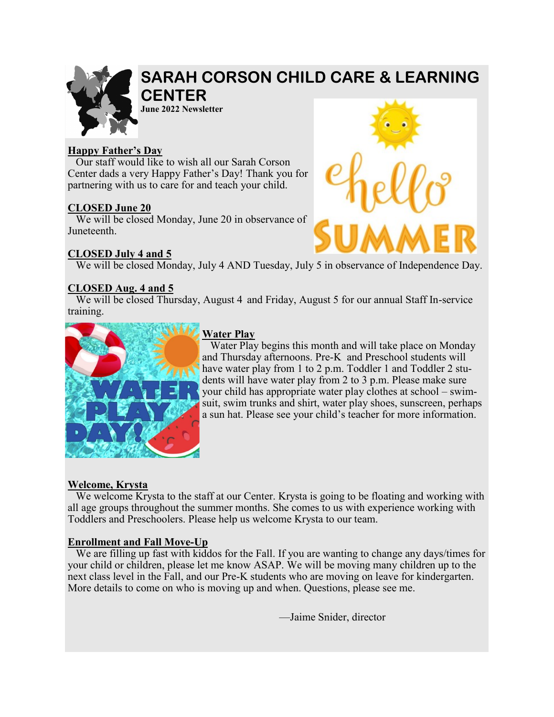

# **SARAH CORSON CHILD CARE & LEARNING CENTER**

**June 2022 Newsletter**

#### **Happy Father's Day**

 Our staff would like to wish all our Sarah Corson Center dads a very Happy Father's Day! Thank you for partnering with us to care for and teach your child.

#### **CLOSED June 20**

 We will be closed Monday, June 20 in observance of Juneteenth.

#### **CLOSED July 4 and 5**

We will be closed Monday, July 4 AND Tuesday, July 5 in observance of Independence Day.

#### **CLOSED Aug. 4 and 5**

We will be closed Thursday, August 4 and Friday, August 5 for our annual Staff In-service training.



### **Water Play**

 Water Play begins this month and will take place on Monday and Thursday afternoons. Pre-K and Preschool students will have water play from 1 to 2 p.m. Toddler 1 and Toddler 2 students will have water play from 2 to 3 p.m. Please make sure your child has appropriate water play clothes at school – swimsuit, swim trunks and shirt, water play shoes, sunscreen, perhaps a sun hat. Please see your child's teacher for more information.

#### **Welcome, Krysta**

 We welcome Krysta to the staff at our Center. Krysta is going to be floating and working with all age groups throughout the summer months. She comes to us with experience working with Toddlers and Preschoolers. Please help us welcome Krysta to our team.

#### **Enrollment and Fall Move-Up**

We are filling up fast with kiddos for the Fall. If you are wanting to change any days/times for your child or children, please let me know ASAP. We will be moving many children up to the next class level in the Fall, and our Pre-K students who are moving on leave for kindergarten. More details to come on who is moving up and when. Questions, please see me.

—Jaime Snider, director